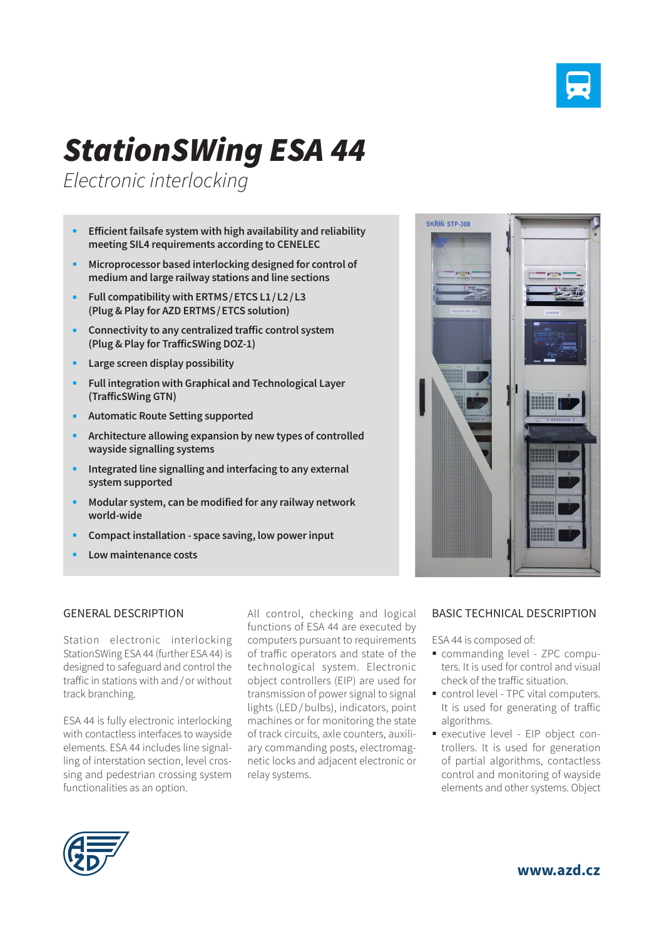

# *StationSWing ESA 44*

*Electronic interlocking*

- **Efficient failsafe system with high availability and reliability meeting SIL4 requirements according to CENELEC**
- **Microprocessor based interlocking designed for control of medium and large railway stations and line sections**
- **Full compatibility with ERTMS/ETCS L1 /L2/L3 (Plug & Play for AZD ERTMS/ETCS solution)**
- **Connectivity to any centralized traffic control system (Plug & Play for TrafficSWing DOZ-1)**
- **Large screen display possibility**
- **Full integration with Graphical and Technological Layer (TrafficSWing GTN)**
- **Automatic Route Setting supported**
- **Architecture allowing expansion by new types of controlled wayside signalling systems**
- **Integrated line signalling and interfacing to any external system supported**
- **Modular system, can be modified for any railway network world-wide**
- **Compact installation space saving, low power input**
- **Low maintenance costs**

# SKŘÍŇ STP-300

## GENERAL DESCRIPTION

Station electronic interlocking StationSWing ESA 44 (further ESA 44) is designed to safeguard and control the traffic in stations with and/or without track branching.

ESA 44 is fully electronic interlocking with contactless interfaces to wayside elements. ESA 44 includes line signalling of interstation section, level crossing and pedestrian crossing system functionalities as an option.

All control, checking and logical functions of ESA 44 are executed by computers pursuant to requirements of traffic operators and state of the technological system. Electronic object controllers (EIP) are used for transmission of power signal to signal lights (LED/ bulbs), indicators, point machines or for monitoring the state of track circuits, axle counters, auxiliary commanding posts, electromagnetic locks and adjacent electronic or relay systems.

### BASIC TECHNICAL DESCRIPTION

ESA 44 is composed of:

- commanding level ZPC computers. It is used for control and visual check of the traffic situation.
- control level TPC vital computers. It is used for generating of traffic algorithms.
- executive level EIP object controllers. It is used for generation of partial algorithms, contactless control and monitoring of wayside elements and other systems. Object